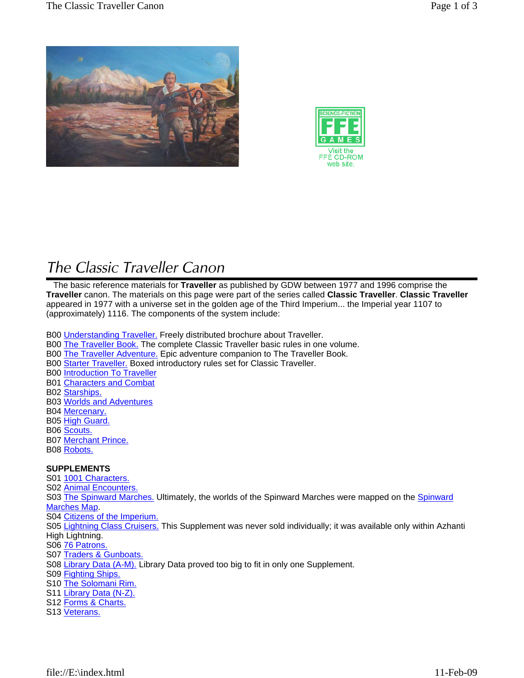



# *The Classic Traveller Canon*

 The basic reference materials for **Traveller** as published by GDW between 1977 and 1996 comprise the **Traveller** canon. The materials on this page were part of the series called **Classic Traveller**. **Classic Traveller** appeared in 1977 with a universe set in the golden age of the Third Imperium... the Imperial year 1107 to (approximately) 1116. The components of the system include:

- B00 Understanding Traveller. Freely distributed brochure about Traveller.
- B00 The Traveller Book. The complete Classic Traveller basic rules in one volume.
- B00 The Traveller Adventure. Epic adventure companion to The Traveller Book.
- B00 Starter Traveller. Boxed introductory rules set for Classic Traveller.

B00 Introduction To Traveller

- B01 Characters and Combat
- B02 Starships.
- B03 Worlds and Adventures
- B04 Mercenary.
- B05 High Guard.
- B06 Scouts.
- B07 Merchant Prince.
- B08 Robots.

## **SUPPLEMENTS**

- S01 1001 Characters.
- S02 Animal Encounters.

S03 The Spinward Marches. Ultimately, the worlds of the Spinward Marches were mapped on the Spinward Marches Map.

- S04 Citizens of the Imperium.
- S05 Lightning Class Cruisers. This Supplement was never sold individually; it was available only within Azhanti High Lightning.
- S06 76 Patrons.
- S07 Traders & Gunboats.
- S08 Library Data (A-M). Library Data proved too big to fit in only one Supplement.
- S09 Fighting Ships.
- S10 The Solomani Rim.
- S11 Library Data (N-Z).
- S12 Forms & Charts.
- S13 Veterans.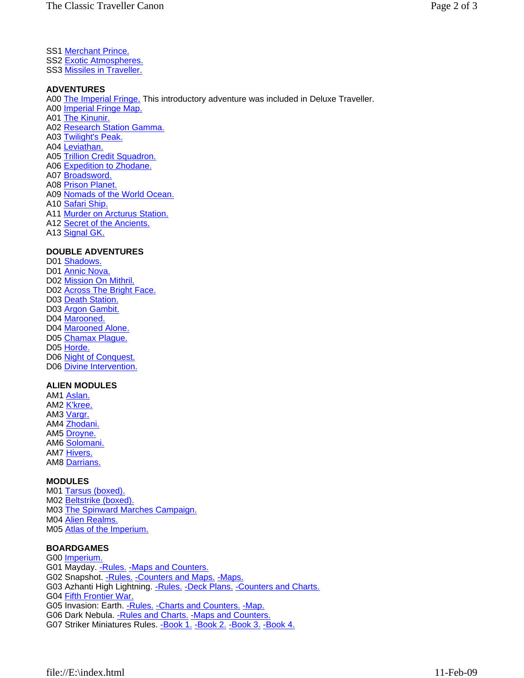- SS1 Merchant Prince.
- SS2 Exotic Atmospheres.

SS3 Missiles in Traveller.

#### **ADVENTURES**

A00 The Imperial Fringe. This introductory adventure was included in Deluxe Traveller. A00 Imperial Fringe Map. A01 The Kinunir. A02 Research Station Gamma. A03 Twilight's Peak. A04 Leviathan. A05 Trillion Credit Squadron. A06 Expedition to Zhodane. A07 Broadsword. A08 Prison Planet.

- A09 Nomads of the World Ocean.
- A10 Safari Ship.
- A11 Murder on Arcturus Station.
- A12 Secret of the Ancients.
- A13 Signal GK.

### **DOUBLE ADVENTURES**

D01 Shadows. D01 Annic Nova. D02 Mission On Mithril. D02 Across The Bright Face. D03 Death Station. D03 Argon Gambit. D04 Marooned. D04 Marooned Alone. D05 Chamax Plague. D05 Horde. D06 Night of Conquest. D06 Divine Intervention.

#### **ALIEN MODULES**

AM1 Aslan. AM2 K'kree. AM3 Vargr. AM4 Zhodani. AM5 Droyne. AM6 Solomani. AM7 Hivers. AM8 Darrians.

## **MODULES**

M01 Tarsus (boxed). M02 Beltstrike (boxed). M03 The Spinward Marches Campaign. M04 Alien Realms. M05 Atlas of the Imperium.

## **BOARDGAMES**

G00 Imperium. G01 Mayday. - Rules. - Maps and Counters. G02 Snapshot. - Rules. - Counters and Maps. - Maps. G03 Azhanti High Lightning. - Rules. - Deck Plans. - Counters and Charts. G04 Fifth Frontier War. G05 Invasion: Earth. - Rules. - Charts and Counters. - Map. G06 Dark Nebula. - Rules and Charts. - Maps and Counters. G07 Striker Miniatures Rules. - Book 1. - Book 2. - Book 3. - Book 4.